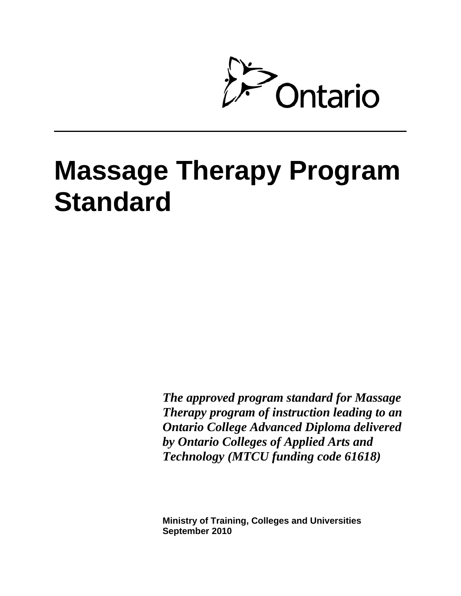

# **Massage Therapy Program Standard**

*The approved program standard for Massage Therapy program of instruction leading to an Ontario College Advanced Diploma delivered by Ontario Colleges of Applied Arts and Technology (MTCU funding code 61618)*

**Ministry of Training, Colleges and Universities September 2010**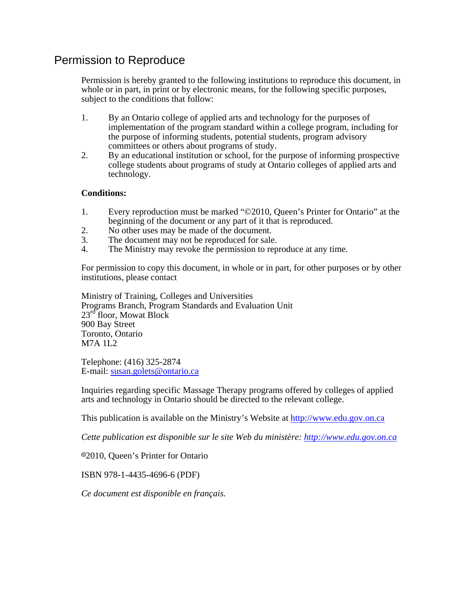# Permission to Reproduce

Permission is hereby granted to the following institutions to reproduce this document, in whole or in part, in print or by electronic means, for the following specific purposes, subject to the conditions that follow:

- 1. By an Ontario college of applied arts and technology for the purposes of implementation of the program standard within a college program, including for the purpose of informing students, potential students, program advisory committees or others about programs of study.
- 2. By an educational institution or school, for the purpose of informing prospective college students about programs of study at Ontario colleges of applied arts and technology.

#### **Conditions:**

- 1. Every reproduction must be marked "©2010, Queen's Printer for Ontario" at the beginning of the document or any part of it that is reproduced.
- 2. No other uses may be made of the document.
- 3. The document may not be reproduced for sale.
- 4. The Ministry may revoke the permission to reproduce at any time.

For permission to copy this document, in whole or in part, for other purposes or by other institutions, please contact

Ministry of Training, Colleges and Universities Programs Branch, Program Standards and Evaluation Unit 23<sup>rd</sup> floor, Mowat Block 900 Bay Street Toronto, Ontario M7A 1L2

Telephone: (416) 325-2874 E-mail: [susan.golets@ontario.ca](mailto:susan.golets@ontario.ca)

Inquiries regarding specific Massage Therapy programs offered by colleges of applied arts and technology in Ontario should be directed to the relevant college.

This publication is available on the Ministry's Website at http://www.edu.gov.on.ca

*Cette publication est disponible sur le site Web du ministère: [http://www.edu.gov.on.ca](http://www.edu.gov.on.ca/)*

82010, Queen's Printer for Ontario

ISBN 978-1-4435-4696-6 (PDF)

*Ce document est disponible en français.*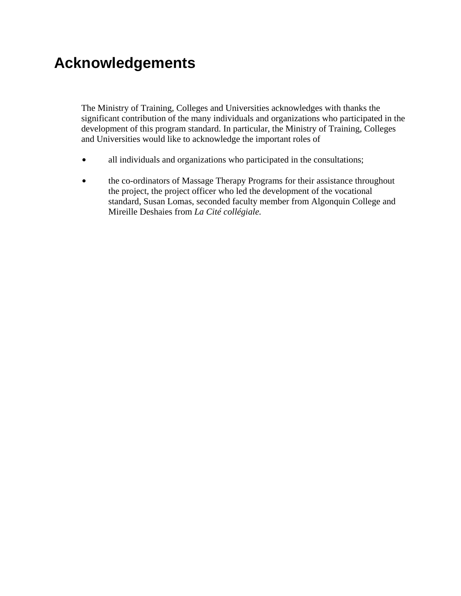# **Acknowledgements**

The Ministry of Training, Colleges and Universities acknowledges with thanks the significant contribution of the many individuals and organizations who participated in the development of this program standard. In particular, the Ministry of Training, Colleges and Universities would like to acknowledge the important roles of

- all individuals and organizations who participated in the consultations;
- the co-ordinators of Massage Therapy Programs for their assistance throughout the project, the project officer who led the development of the vocational standard, Susan Lomas, seconded faculty member from Algonquin College and Mireille Deshaies from *La Cité collégiale.*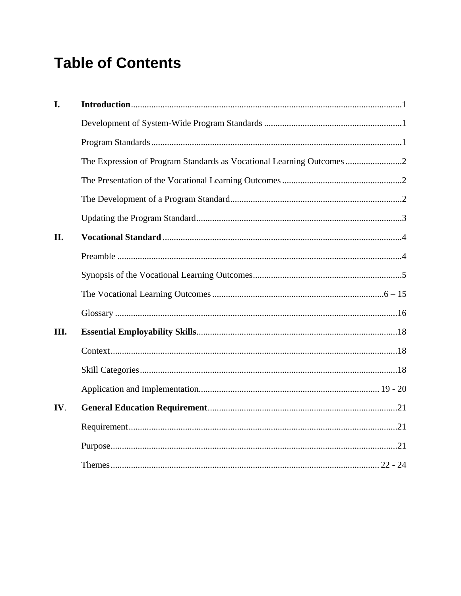# **Table of Contents**

| I.  |                                                                     |  |
|-----|---------------------------------------------------------------------|--|
|     |                                                                     |  |
|     |                                                                     |  |
|     | The Expression of Program Standards as Vocational Learning Outcomes |  |
|     |                                                                     |  |
|     |                                                                     |  |
|     |                                                                     |  |
| II. |                                                                     |  |
|     |                                                                     |  |
|     |                                                                     |  |
|     |                                                                     |  |
|     |                                                                     |  |
| Ш.  |                                                                     |  |
|     |                                                                     |  |
|     |                                                                     |  |
|     |                                                                     |  |
| IV. |                                                                     |  |
|     |                                                                     |  |
|     |                                                                     |  |
|     |                                                                     |  |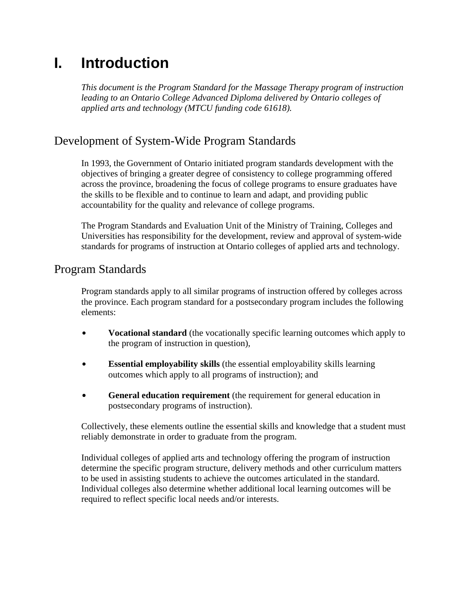# **I. Introduction**

*This document is the Program Standard for the Massage Therapy program of instruction leading to an Ontario College Advanced Diploma delivered by Ontario colleges of applied arts and technology (MTCU funding code 61618).* 

# Development of System-Wide Program Standards

In 1993, the Government of Ontario initiated program standards development with the objectives of bringing a greater degree of consistency to college programming offered across the province, broadening the focus of college programs to ensure graduates have the skills to be flexible and to continue to learn and adapt, and providing public accountability for the quality and relevance of college programs.

The Program Standards and Evaluation Unit of the Ministry of Training, Colleges and Universities has responsibility for the development, review and approval of system-wide standards for programs of instruction at Ontario colleges of applied arts and technology.

# Program Standards

Program standards apply to all similar programs of instruction offered by colleges across the province. Each program standard for a postsecondary program includes the following elements:

- **Vocational standard** (the vocationally specific learning outcomes which apply to the program of instruction in question),
- **Essential employability skills** (the essential employability skills learning outcomes which apply to all programs of instruction); and
- **General education requirement** (the requirement for general education in postsecondary programs of instruction).

Collectively, these elements outline the essential skills and knowledge that a student must reliably demonstrate in order to graduate from the program.

Individual colleges of applied arts and technology offering the program of instruction determine the specific program structure, delivery methods and other curriculum matters to be used in assisting students to achieve the outcomes articulated in the standard. Individual colleges also determine whether additional local learning outcomes will be required to reflect specific local needs and/or interests.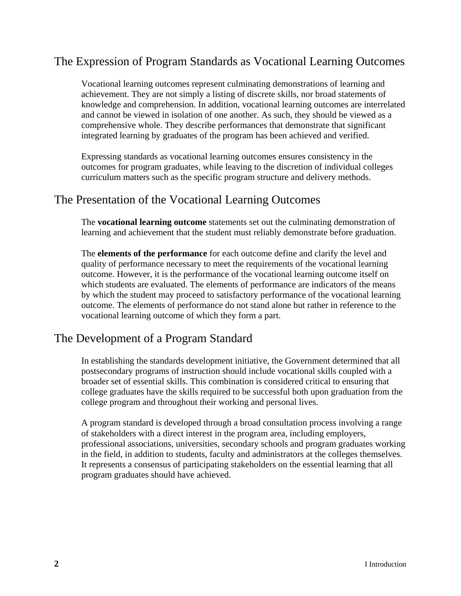# The Expression of Program Standards as Vocational Learning Outcomes

Vocational learning outcomes represent culminating demonstrations of learning and achievement. They are not simply a listing of discrete skills, nor broad statements of knowledge and comprehension. In addition, vocational learning outcomes are interrelated and cannot be viewed in isolation of one another. As such, they should be viewed as a comprehensive whole. They describe performances that demonstrate that significant integrated learning by graduates of the program has been achieved and verified.

Expressing standards as vocational learning outcomes ensures consistency in the outcomes for program graduates, while leaving to the discretion of individual colleges curriculum matters such as the specific program structure and delivery methods.

### The Presentation of the Vocational Learning Outcomes

The **vocational learning outcome** statements set out the culminating demonstration of learning and achievement that the student must reliably demonstrate before graduation.

The **elements of the performance** for each outcome define and clarify the level and quality of performance necessary to meet the requirements of the vocational learning outcome. However, it is the performance of the vocational learning outcome itself on which students are evaluated. The elements of performance are indicators of the means by which the student may proceed to satisfactory performance of the vocational learning outcome. The elements of performance do not stand alone but rather in reference to the vocational learning outcome of which they form a part.

### The Development of a Program Standard

In establishing the standards development initiative, the Government determined that all postsecondary programs of instruction should include vocational skills coupled with a broader set of essential skills. This combination is considered critical to ensuring that college graduates have the skills required to be successful both upon graduation from the college program and throughout their working and personal lives.

A program standard is developed through a broad consultation process involving a range of stakeholders with a direct interest in the program area, including employers, professional associations, universities, secondary schools and program graduates working in the field, in addition to students, faculty and administrators at the colleges themselves. It represents a consensus of participating stakeholders on the essential learning that all program graduates should have achieved.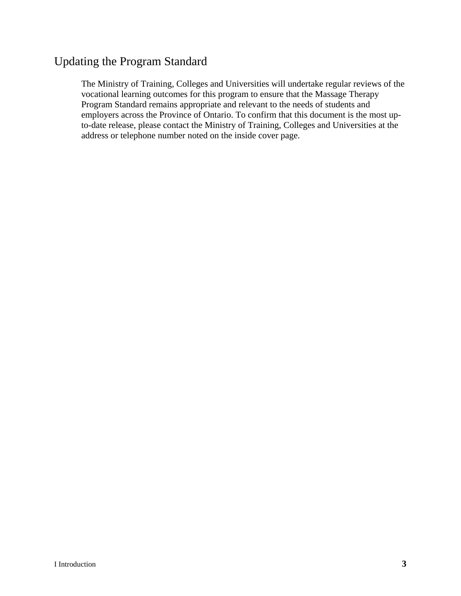# Updating the Program Standard

The Ministry of Training, Colleges and Universities will undertake regular reviews of the vocational learning outcomes for this program to ensure that the Massage Therapy Program Standard remains appropriate and relevant to the needs of students and employers across the Province of Ontario. To confirm that this document is the most upto-date release, please contact the Ministry of Training, Colleges and Universities at the address or telephone number noted on the inside cover page.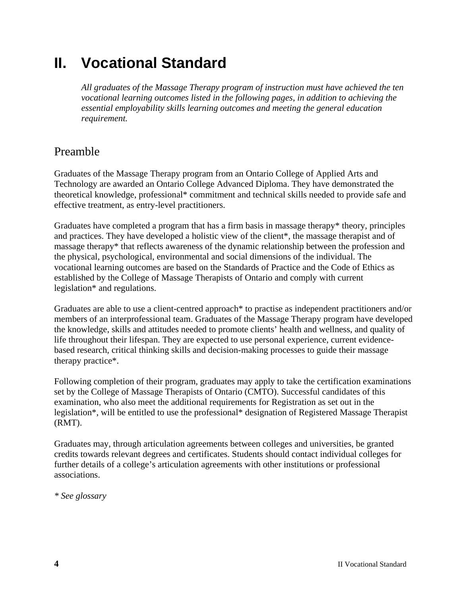# **II. Vocational Standard**

*All graduates of the Massage Therapy program of instruction must have achieved the ten vocational learning outcomes listed in the following pages, in addition to achieving the essential employability skills learning outcomes and meeting the general education requirement.*

# Preamble

Graduates of the Massage Therapy program from an Ontario College of Applied Arts and Technology are awarded an Ontario College Advanced Diploma. They have demonstrated the theoretical knowledge, professional\* commitment and technical skills needed to provide safe and effective treatment, as entry-level practitioners.

Graduates have completed a program that has a firm basis in massage therapy\* theory, principles and practices. They have developed a holistic view of the client\*, the massage therapist and of massage therapy\* that reflects awareness of the dynamic relationship between the profession and the physical, psychological, environmental and social dimensions of the individual. The vocational learning outcomes are based on the Standards of Practice and the Code of Ethics as established by the College of Massage Therapists of Ontario and comply with current legislation\* and regulations.

Graduates are able to use a client-centred approach\* to practise as independent practitioners and/or members of an interprofessional team. Graduates of the Massage Therapy program have developed the knowledge, skills and attitudes needed to promote clients' health and wellness, and quality of life throughout their lifespan. They are expected to use personal experience, current evidencebased research, critical thinking skills and decision-making processes to guide their massage therapy practice\*.

Following completion of their program, graduates may apply to take the certification examinations set by the College of Massage Therapists of Ontario (CMTO). Successful candidates of this examination, who also meet the additional requirements for Registration as set out in the legislation\*, will be entitled to use the professional\* designation of Registered Massage Therapist (RMT).

Graduates may, through articulation agreements between colleges and universities, be granted credits towards relevant degrees and certificates. Students should contact individual colleges for further details of a college's articulation agreements with other institutions or professional associations.

*\* See glossary*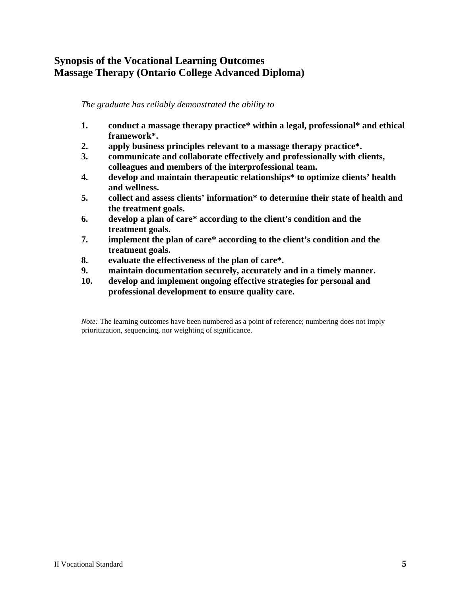### **Synopsis of the Vocational Learning Outcomes Massage Therapy (Ontario College Advanced Diploma)**

#### *The graduate has reliably demonstrated the ability to*

- **1. conduct a massage therapy practice\* within a legal, professional\* and ethical framework\*.**
- **2. apply business principles relevant to a massage therapy practice\*.**
- **3. communicate and collaborate effectively and professionally with clients, colleagues and members of the interprofessional team.**
- **4. develop and maintain therapeutic relationships\* to optimize clients' health and wellness.**
- **5. collect and assess clients' information\* to determine their state of health and the treatment goals.**
- **6. develop a plan of care\* according to the client's condition and the treatment goals.**
- **7. implement the plan of care\* according to the client's condition and the treatment goals.**
- **8. evaluate the effectiveness of the plan of care\*.**
- **9. maintain documentation securely, accurately and in a timely manner.**
- **10. develop and implement ongoing effective strategies for personal and professional development to ensure quality care.**

*Note:* The learning outcomes have been numbered as a point of reference; numbering does not imply prioritization, sequencing, nor weighting of significance.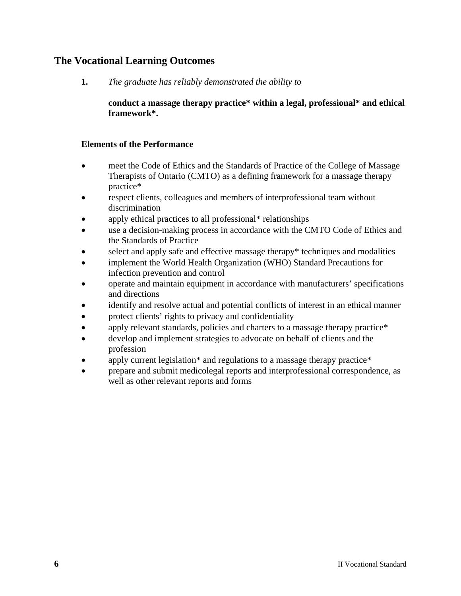### **The Vocational Learning Outcomes**

**1.** *The graduate has reliably demonstrated the ability to* 

**conduct a massage therapy practice\* within a legal, professional\* and ethical framework\*.** 

- meet the Code of Ethics and the Standards of Practice of the College of Massage Therapists of Ontario (CMTO) as a defining framework for a massage therapy practice\*
- respect clients, colleagues and members of interprofessional team without discrimination
- apply ethical practices to all professional\* relationships
- use a decision-making process in accordance with the CMTO Code of Ethics and the Standards of Practice
- select and apply safe and effective massage therapy\* techniques and modalities
- implement the World Health Organization (WHO) Standard Precautions for infection prevention and control
- operate and maintain equipment in accordance with manufacturers' specifications and directions
- identify and resolve actual and potential conflicts of interest in an ethical manner
- protect clients' rights to privacy and confidentiality
- apply relevant standards, policies and charters to a massage therapy practice\*
- develop and implement strategies to advocate on behalf of clients and the profession
- apply current legislation\* and regulations to a massage therapy practice\*
- prepare and submit medicolegal reports and interprofessional correspondence, as well as other relevant reports and forms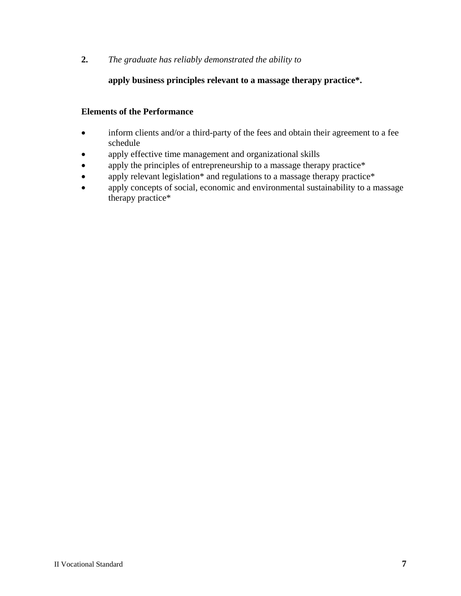#### **apply business principles relevant to a massage therapy practice\*.**

- inform clients and/or a third-party of the fees and obtain their agreement to a fee schedule
- apply effective time management and organizational skills
- apply the principles of entrepreneurship to a massage therapy practice\*
- apply relevant legislation\* and regulations to a massage therapy practice\*
- apply concepts of social, economic and environmental sustainability to a massage therapy practice\*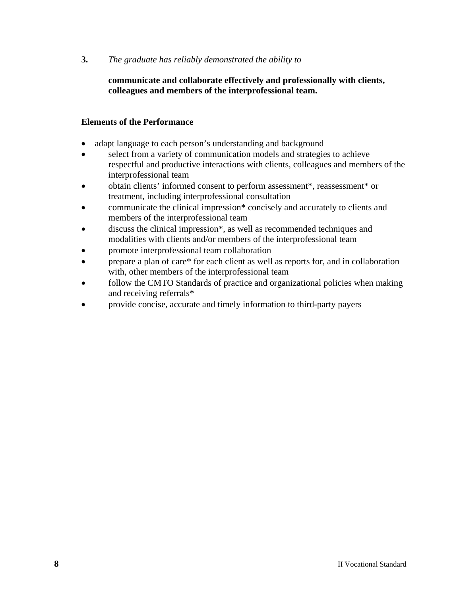#### **communicate and collaborate effectively and professionally with clients, colleagues and members of the interprofessional team.**

- adapt language to each person's understanding and background
- select from a variety of communication models and strategies to achieve respectful and productive interactions with clients, colleagues and members of the interprofessional team
- obtain clients' informed consent to perform assessment\*, reassessment\* or treatment, including interprofessional consultation
- communicate the clinical impression\* concisely and accurately to clients and members of the interprofessional team
- discuss the clinical impression\*, as well as recommended techniques and modalities with clients and/or members of the interprofessional team
- promote interprofessional team collaboration
- prepare a plan of care\* for each client as well as reports for, and in collaboration with, other members of the interprofessional team
- follow the CMTO Standards of practice and organizational policies when making and receiving referrals\*
- provide concise, accurate and timely information to third-party payers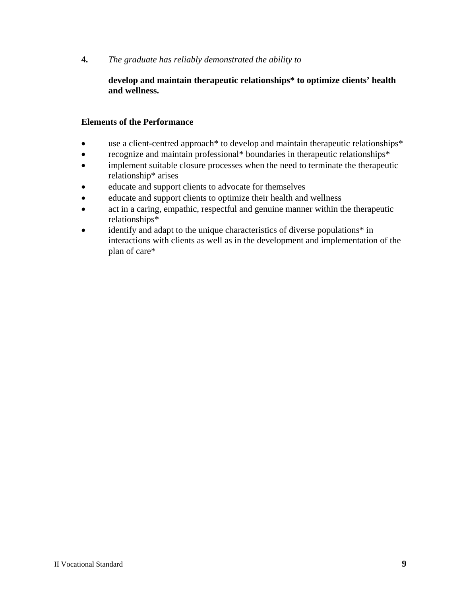#### **develop and maintain therapeutic relationships\* to optimize clients' health and wellness.**

- use a client-centred approach\* to develop and maintain therapeutic relationships\*
- recognize and maintain professional\* boundaries in therapeutic relationships\*
- implement suitable closure processes when the need to terminate the therapeutic relationship\* arises
- educate and support clients to advocate for themselves
- educate and support clients to optimize their health and wellness
- act in a caring, empathic, respectful and genuine manner within the therapeutic relationships\*
- identify and adapt to the unique characteristics of diverse populations<sup>\*</sup> in interactions with clients as well as in the development and implementation of the plan of care\*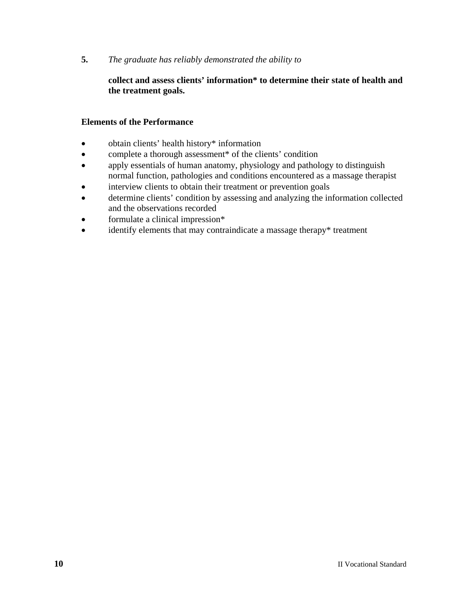#### **collect and assess clients' information\* to determine their state of health and the treatment goals.**

- obtain clients' health history\* information
- complete a thorough assessment\* of the clients' condition
- apply essentials of human anatomy, physiology and pathology to distinguish normal function, pathologies and conditions encountered as a massage therapist
- interview clients to obtain their treatment or prevention goals
- determine clients' condition by assessing and analyzing the information collected and the observations recorded
- formulate a clinical impression\*
- identify elements that may contraindicate a massage therapy\* treatment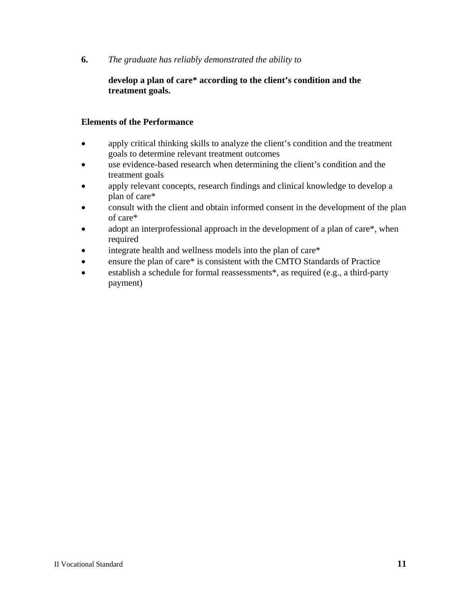#### **develop a plan of care\* according to the client's condition and the treatment goals.**

- apply critical thinking skills to analyze the client's condition and the treatment goals to determine relevant treatment outcomes
- use evidence-based research when determining the client's condition and the treatment goals
- apply relevant concepts, research findings and clinical knowledge to develop a plan of care\*
- consult with the client and obtain informed consent in the development of the plan of care\*
- adopt an interprofessional approach in the development of a plan of care\*, when required
- integrate health and wellness models into the plan of care\*
- ensure the plan of care\* is consistent with the CMTO Standards of Practice
- establish a schedule for formal reassessments\*, as required (e.g., a third-party payment)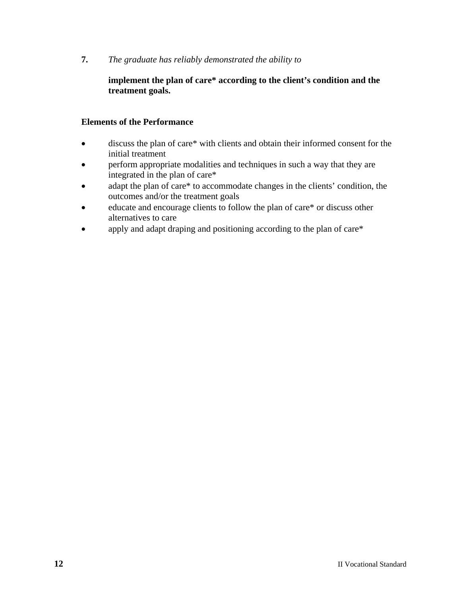#### **implement the plan of care\* according to the client's condition and the treatment goals.**

- discuss the plan of care\* with clients and obtain their informed consent for the initial treatment
- perform appropriate modalities and techniques in such a way that they are integrated in the plan of care\*
- adapt the plan of care\* to accommodate changes in the clients' condition, the outcomes and/or the treatment goals
- educate and encourage clients to follow the plan of care\* or discuss other alternatives to care
- apply and adapt draping and positioning according to the plan of care\*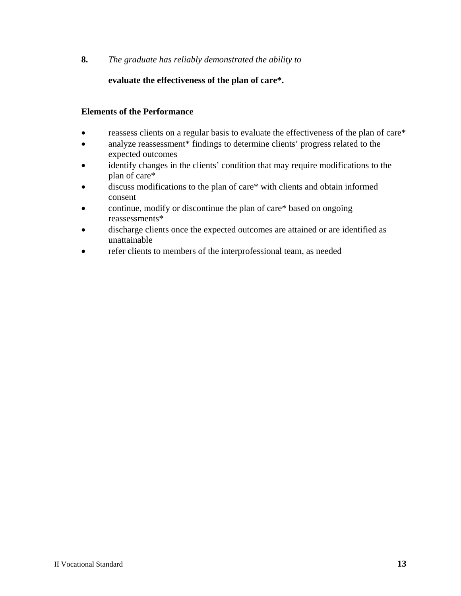#### **evaluate the effectiveness of the plan of care\*.**

- reassess clients on a regular basis to evaluate the effectiveness of the plan of care\*
- analyze reassessment\* findings to determine clients' progress related to the expected outcomes
- identify changes in the clients' condition that may require modifications to the plan of care\*
- discuss modifications to the plan of care\* with clients and obtain informed consent
- continue, modify or discontinue the plan of care\* based on ongoing reassessments\*
- discharge clients once the expected outcomes are attained or are identified as unattainable
- refer clients to members of the interprofessional team, as needed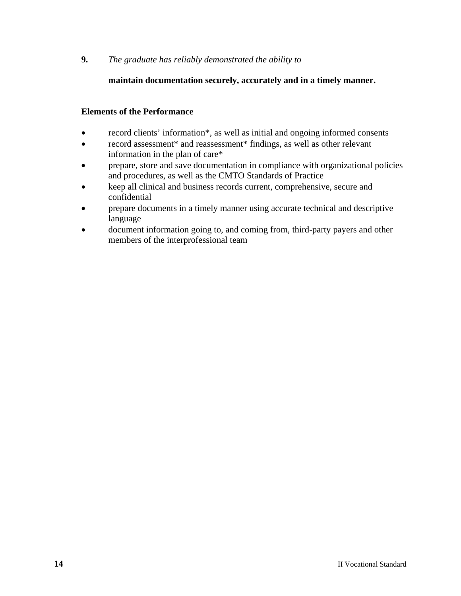#### **maintain documentation securely, accurately and in a timely manner.**

- record clients' information\*, as well as initial and ongoing informed consents
- record assessment\* and reassessment\* findings, as well as other relevant information in the plan of care\*
- prepare, store and save documentation in compliance with organizational policies and procedures, as well as the CMTO Standards of Practice
- keep all clinical and business records current, comprehensive, secure and confidential
- prepare documents in a timely manner using accurate technical and descriptive language
- document information going to, and coming from, third-party payers and other members of the interprofessional team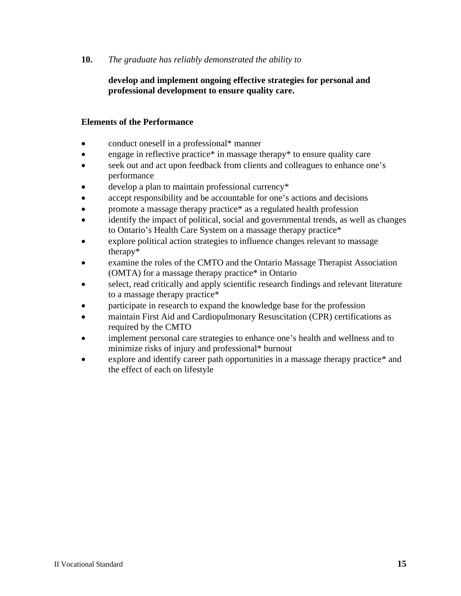#### **develop and implement ongoing effective strategies for personal and professional development to ensure quality care.**

- conduct oneself in a professional\* manner
- engage in reflective practice\* in massage therapy\* to ensure quality care
- seek out and act upon feedback from clients and colleagues to enhance one's performance
- develop a plan to maintain professional currency\*
- accept responsibility and be accountable for one's actions and decisions
- promote a massage therapy practice\* as a regulated health profession
- identify the impact of political, social and governmental trends, as well as changes to Ontario's Health Care System on a massage therapy practice\*
- explore political action strategies to influence changes relevant to massage therapy\*
- examine the roles of the CMTO and the Ontario Massage Therapist Association (OMTA) for a massage therapy practice\* in Ontario
- select, read critically and apply scientific research findings and relevant literature to a massage therapy practice\*
- participate in research to expand the knowledge base for the profession
- maintain First Aid and Cardiopulmonary Resuscitation (CPR) certifications as required by the CMTO
- implement personal care strategies to enhance one's health and wellness and to minimize risks of injury and professional\* burnout
- explore and identify career path opportunities in a massage therapy practice\* and the effect of each on lifestyle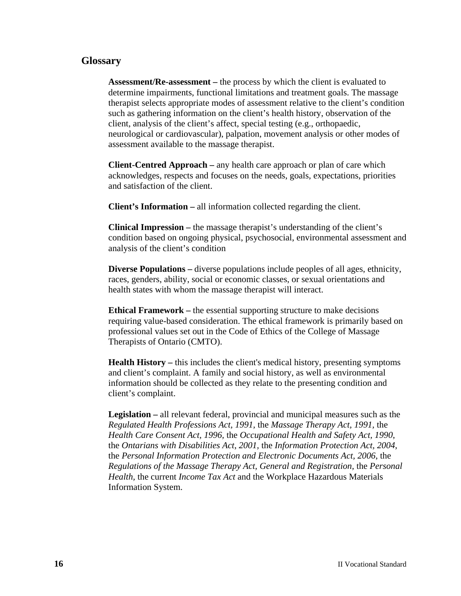#### **Glossary**

**Assessment/Re-assessment –** the process by which the client is evaluated to determine impairments, functional limitations and treatment goals. The massage therapist selects appropriate modes of assessment relative to the client's condition such as gathering information on the client's health history, observation of the client, analysis of the client's affect, special testing (e.g., orthopaedic, neurological or cardiovascular), palpation, movement analysis or other modes of assessment available to the massage therapist.

**Client-Centred Approach –** any health care approach or plan of care which acknowledges, respects and focuses on the needs, goals, expectations, priorities and satisfaction of the client.

**Client's Information –** all information collected regarding the client.

**Clinical Impression –** the massage therapist's understanding of the client's condition based on ongoing physical, psychosocial, environmental assessment and analysis of the client's condition

**Diverse Populations – diverse populations include peoples of all ages, ethnicity,** races, genders, ability, social or economic classes, or sexual orientations and health states with whom the massage therapist will interact.

**Ethical Framework –** the essential supporting structure to make decisions requiring value-based consideration. The ethical framework is primarily based on professional values set out in the Code of Ethics of the College of Massage Therapists of Ontario (CMTO).

**Health History –** this includes the client's medical history, presenting symptoms and client's complaint. A family and social history, as well as environmental information should be collected as they relate to the presenting condition and client's complaint.

**Legislation –** all relevant federal, provincial and municipal measures such as the *Regulated Health Professions Act, 1991,* the *Massage Therapy Act, 1991,* the *Health Care Consent Act, 1996,* the *Occupational Health and Safety Act, 1990*, the *Ontarians with Disabilities Act*, *2001,* the *Information Protection Act, 2004*, the *Personal Information Protection and Electronic Documents Act, 2006*, the *Regulations of the Massage Therapy Act, General and Registration,* the *Personal Health,* the current *Income Tax Act* and the Workplace Hazardous Materials Information System.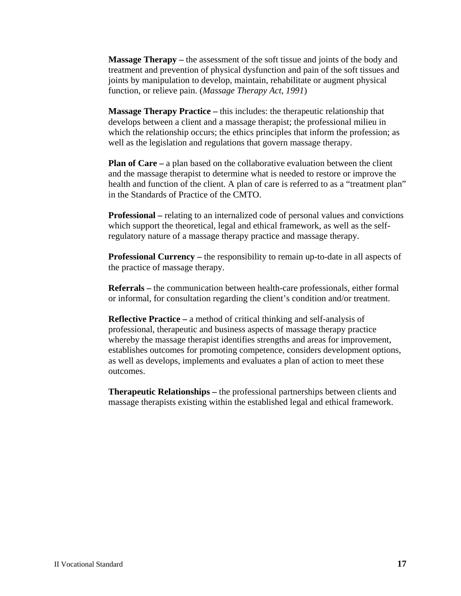**Massage Therapy** – the assessment of the soft tissue and joints of the body and treatment and prevention of physical dysfunction and pain of the soft tissues and joints by manipulation to develop, maintain, rehabilitate or augment physical function, or relieve pain. (*Massage Therapy Act, 1991*)

**Massage Therapy Practice –** this includes: the therapeutic relationship that develops between a client and a massage therapist; the professional milieu in which the relationship occurs; the ethics principles that inform the profession; as well as the legislation and regulations that govern massage therapy.

**Plan of Care** – a plan based on the collaborative evaluation between the client and the massage therapist to determine what is needed to restore or improve the health and function of the client. A plan of care is referred to as a "treatment plan" in the Standards of Practice of the CMTO.

**Professional –** relating to an internalized code of personal values and convictions which support the theoretical, legal and ethical framework, as well as the selfregulatory nature of a massage therapy practice and massage therapy.

**Professional Currency –** the responsibility to remain up-to-date in all aspects of the practice of massage therapy.

**Referrals –** the communication between health-care professionals, either formal or informal, for consultation regarding the client's condition and/or treatment.

**Reflective Practice** – a method of critical thinking and self-analysis of professional, therapeutic and business aspects of massage therapy practice whereby the massage therapist identifies strengths and areas for improvement, establishes outcomes for promoting competence, considers development options, as well as develops, implements and evaluates a plan of action to meet these outcomes.

**Therapeutic Relationships –** the professional partnerships between clients and massage therapists existing within the established legal and ethical framework.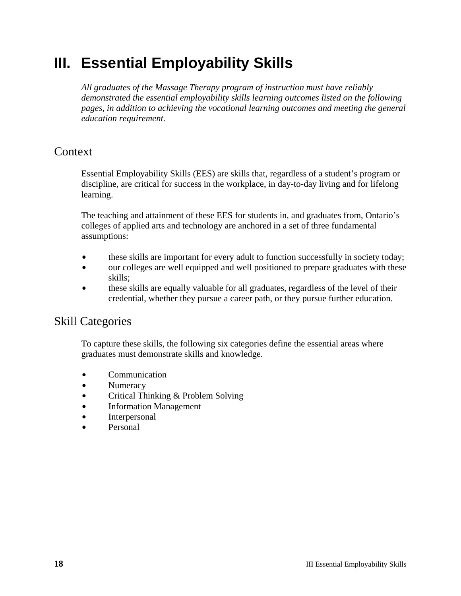# **III. Essential Employability Skills**

*All graduates of the Massage Therapy program of instruction must have reliably demonstrated the essential employability skills learning outcomes listed on the following pages, in addition to achieving the vocational learning outcomes and meeting the general education requirement.*

## **Context**

Essential Employability Skills (EES) are skills that, regardless of a student's program or discipline, are critical for success in the workplace, in day-to-day living and for lifelong learning.

The teaching and attainment of these EES for students in, and graduates from, Ontario's colleges of applied arts and technology are anchored in a set of three fundamental assumptions:

- these skills are important for every adult to function successfully in society today;
- our colleges are well equipped and well positioned to prepare graduates with these skills;
- these skills are equally valuable for all graduates, regardless of the level of their credential, whether they pursue a career path, or they pursue further education.

# Skill Categories

To capture these skills, the following six categories define the essential areas where graduates must demonstrate skills and knowledge.

- Communication
- Numeracy
- Critical Thinking & Problem Solving
- $\bullet$  Information Management
- Interpersonal
- **Personal**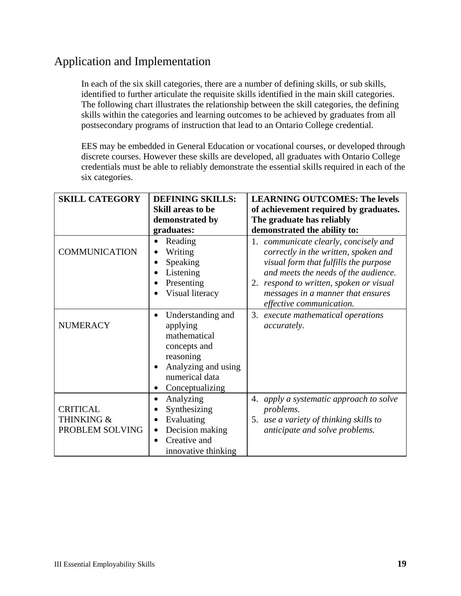# Application and Implementation

In each of the six skill categories, there are a number of defining skills, or sub skills, identified to further articulate the requisite skills identified in the main skill categories. The following chart illustrates the relationship between the skill categories, the defining skills within the categories and learning outcomes to be achieved by graduates from all postsecondary programs of instruction that lead to an Ontario College credential.

EES may be embedded in General Education or vocational courses, or developed through discrete courses. However these skills are developed, all graduates with Ontario College credentials must be able to reliably demonstrate the essential skills required in each of the six categories.

| <b>SKILL CATEGORY</b>                            | <b>DEFINING SKILLS:</b>                                                                                                                                          | <b>LEARNING OUTCOMES: The levels</b>                                                                                                                                                                                                           |
|--------------------------------------------------|------------------------------------------------------------------------------------------------------------------------------------------------------------------|------------------------------------------------------------------------------------------------------------------------------------------------------------------------------------------------------------------------------------------------|
|                                                  | <b>Skill areas to be</b>                                                                                                                                         | of achievement required by graduates.                                                                                                                                                                                                          |
|                                                  | demonstrated by                                                                                                                                                  | The graduate has reliably                                                                                                                                                                                                                      |
|                                                  | graduates:                                                                                                                                                       | demonstrated the ability to:                                                                                                                                                                                                                   |
| <b>COMMUNICATION</b>                             | Reading<br>Writing<br>$\bullet$<br>Speaking<br>Listening<br>Presenting<br>Visual literacy                                                                        | 1. communicate clearly, concisely and<br>correctly in the written, spoken and<br>visual form that fulfills the purpose<br>and meets the needs of the audience.<br>2. respond to written, spoken or visual<br>messages in a manner that ensures |
|                                                  |                                                                                                                                                                  | effective communication.                                                                                                                                                                                                                       |
| <b>NUMERACY</b>                                  | Understanding and<br>$\bullet$<br>applying<br>mathematical<br>concepts and<br>reasoning<br>Analyzing and using<br>$\bullet$<br>numerical data<br>Conceptualizing | 3. execute mathematical operations<br><i>accurately.</i>                                                                                                                                                                                       |
| <b>CRITICAL</b><br>THINKING &<br>PROBLEM SOLVING | Analyzing<br>$\bullet$<br>Synthesizing<br>Evaluating<br>Decision making<br>$\bullet$<br>Creative and<br>innovative thinking                                      | apply a systematic approach to solve<br>4.<br>problems.<br>5. use a variety of thinking skills to<br>anticipate and solve problems.                                                                                                            |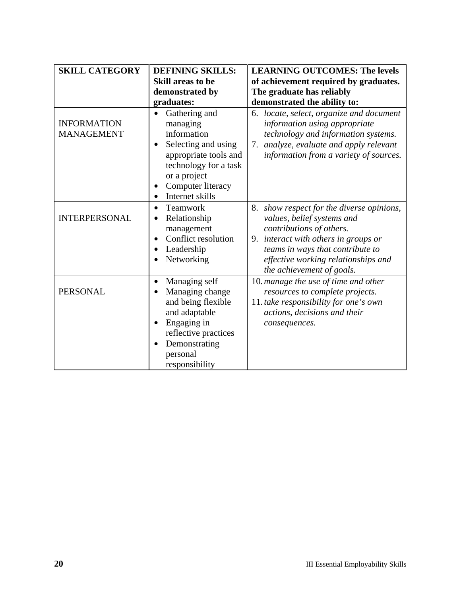| <b>SKILL CATEGORY</b><br><b>DEFINING SKILLS:</b> |                                                                                                                                                                                                      | <b>LEARNING OUTCOMES: The levels</b>                                                                                                                                                                                                                |  |
|--------------------------------------------------|------------------------------------------------------------------------------------------------------------------------------------------------------------------------------------------------------|-----------------------------------------------------------------------------------------------------------------------------------------------------------------------------------------------------------------------------------------------------|--|
|                                                  | <b>Skill areas to be</b>                                                                                                                                                                             | of achievement required by graduates.                                                                                                                                                                                                               |  |
|                                                  | demonstrated by                                                                                                                                                                                      | The graduate has reliably                                                                                                                                                                                                                           |  |
|                                                  | graduates:                                                                                                                                                                                           | demonstrated the ability to:                                                                                                                                                                                                                        |  |
| <b>INFORMATION</b><br><b>MANAGEMENT</b>          | Gathering and<br>managing<br>information<br>Selecting and using<br>٠<br>appropriate tools and<br>technology for a task<br>or a project<br>Computer literacy<br>Internet skills<br>$\bullet$          | locate, select, organize and document<br>6.<br>information using appropriate<br>technology and information systems.<br>analyze, evaluate and apply relevant<br>7.<br>information from a variety of sources.                                         |  |
| <b>INTERPERSONAL</b>                             | Teamwork<br>$\bullet$<br>Relationship<br>$\bullet$<br>management<br>Conflict resolution<br>Leadership<br>Networking                                                                                  | 8. show respect for the diverse opinions,<br>values, belief systems and<br>contributions of others.<br>9. interact with others in groups or<br>teams in ways that contribute to<br>effective working relationships and<br>the achievement of goals. |  |
| <b>PERSONAL</b>                                  | Managing self<br>$\bullet$<br>Managing change<br>$\bullet$<br>and being flexible<br>and adaptable<br>Engaging in<br>$\bullet$<br>reflective practices<br>Demonstrating<br>personal<br>responsibility | 10. manage the use of time and other<br>resources to complete projects.<br>11. take responsibility for one's own<br>actions, decisions and their<br>consequences.                                                                                   |  |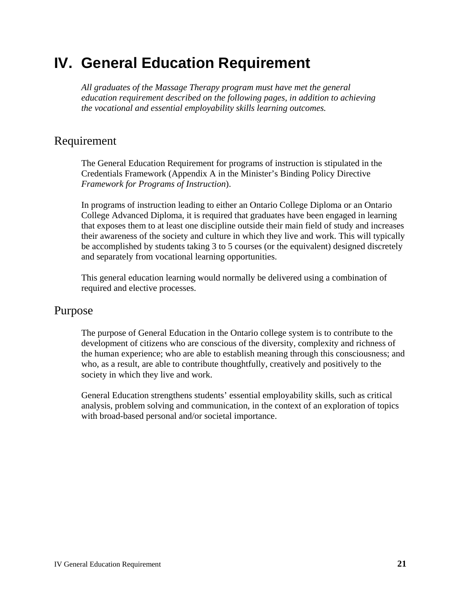# **IV. General Education Requirement**

*All graduates of the Massage Therapy program must have met the general education requirement described on the following pages, in addition to achieving the vocational and essential employability skills learning outcomes.*

## Requirement

The General Education Requirement for programs of instruction is stipulated in the Credentials Framework (Appendix A in the Minister's Binding Policy Directive *Framework for Programs of Instruction*).

In programs of instruction leading to either an Ontario College Diploma or an Ontario College Advanced Diploma, it is required that graduates have been engaged in learning that exposes them to at least one discipline outside their main field of study and increases their awareness of the society and culture in which they live and work. This will typically be accomplished by students taking 3 to 5 courses (or the equivalent) designed discretely and separately from vocational learning opportunities.

This general education learning would normally be delivered using a combination of required and elective processes.

### Purpose

The purpose of General Education in the Ontario college system is to contribute to the development of citizens who are conscious of the diversity, complexity and richness of the human experience; who are able to establish meaning through this consciousness; and who, as a result, are able to contribute thoughtfully, creatively and positively to the society in which they live and work.

General Education strengthens students' essential employability skills, such as critical analysis, problem solving and communication, in the context of an exploration of topics with broad-based personal and/or societal importance.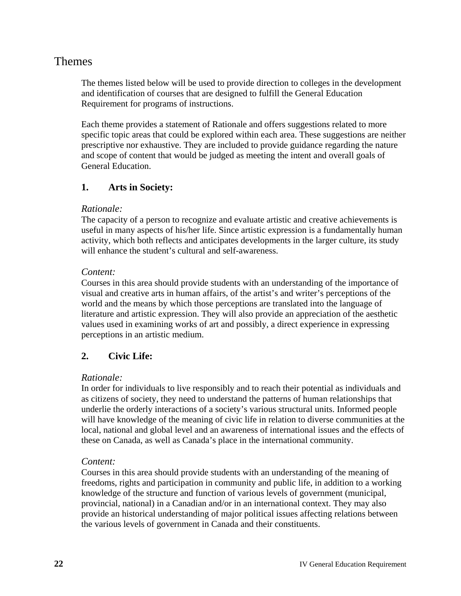# Themes

The themes listed below will be used to provide direction to colleges in the development and identification of courses that are designed to fulfill the General Education Requirement for programs of instructions.

Each theme provides a statement of Rationale and offers suggestions related to more specific topic areas that could be explored within each area. These suggestions are neither prescriptive nor exhaustive. They are included to provide guidance regarding the nature and scope of content that would be judged as meeting the intent and overall goals of General Education.

#### **1. Arts in Society:**

#### *Rationale:*

The capacity of a person to recognize and evaluate artistic and creative achievements is useful in many aspects of his/her life. Since artistic expression is a fundamentally human activity, which both reflects and anticipates developments in the larger culture, its study will enhance the student's cultural and self-awareness.

#### *Content:*

Courses in this area should provide students with an understanding of the importance of visual and creative arts in human affairs, of the artist's and writer's perceptions of the world and the means by which those perceptions are translated into the language of literature and artistic expression. They will also provide an appreciation of the aesthetic values used in examining works of art and possibly, a direct experience in expressing perceptions in an artistic medium.

#### **2. Civic Life:**

#### *Rationale:*

In order for individuals to live responsibly and to reach their potential as individuals and as citizens of society, they need to understand the patterns of human relationships that underlie the orderly interactions of a society's various structural units. Informed people will have knowledge of the meaning of civic life in relation to diverse communities at the local, national and global level and an awareness of international issues and the effects of these on Canada, as well as Canada's place in the international community.

#### *Content:*

Courses in this area should provide students with an understanding of the meaning of freedoms, rights and participation in community and public life, in addition to a working knowledge of the structure and function of various levels of government (municipal, provincial, national) in a Canadian and/or in an international context. They may also provide an historical understanding of major political issues affecting relations between the various levels of government in Canada and their constituents.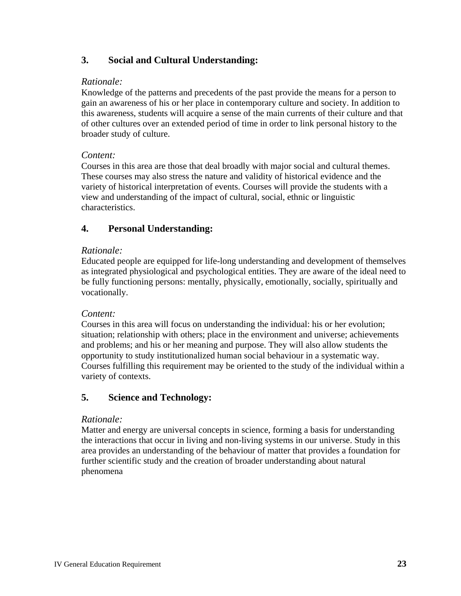#### **3. Social and Cultural Understanding:**

#### *Rationale:*

Knowledge of the patterns and precedents of the past provide the means for a person to gain an awareness of his or her place in contemporary culture and society. In addition to this awareness, students will acquire a sense of the main currents of their culture and that of other cultures over an extended period of time in order to link personal history to the broader study of culture.

#### *Content:*

Courses in this area are those that deal broadly with major social and cultural themes. These courses may also stress the nature and validity of historical evidence and the variety of historical interpretation of events. Courses will provide the students with a view and understanding of the impact of cultural, social, ethnic or linguistic characteristics.

#### **4. Personal Understanding:**

#### *Rationale:*

Educated people are equipped for life-long understanding and development of themselves as integrated physiological and psychological entities. They are aware of the ideal need to be fully functioning persons: mentally, physically, emotionally, socially, spiritually and vocationally.

#### *Content:*

Courses in this area will focus on understanding the individual: his or her evolution; situation; relationship with others; place in the environment and universe; achievements and problems; and his or her meaning and purpose. They will also allow students the opportunity to study institutionalized human social behaviour in a systematic way. Courses fulfilling this requirement may be oriented to the study of the individual within a variety of contexts.

#### **5. Science and Technology:**

#### *Rationale:*

Matter and energy are universal concepts in science, forming a basis for understanding the interactions that occur in living and non-living systems in our universe. Study in this area provides an understanding of the behaviour of matter that provides a foundation for further scientific study and the creation of broader understanding about natural phenomena